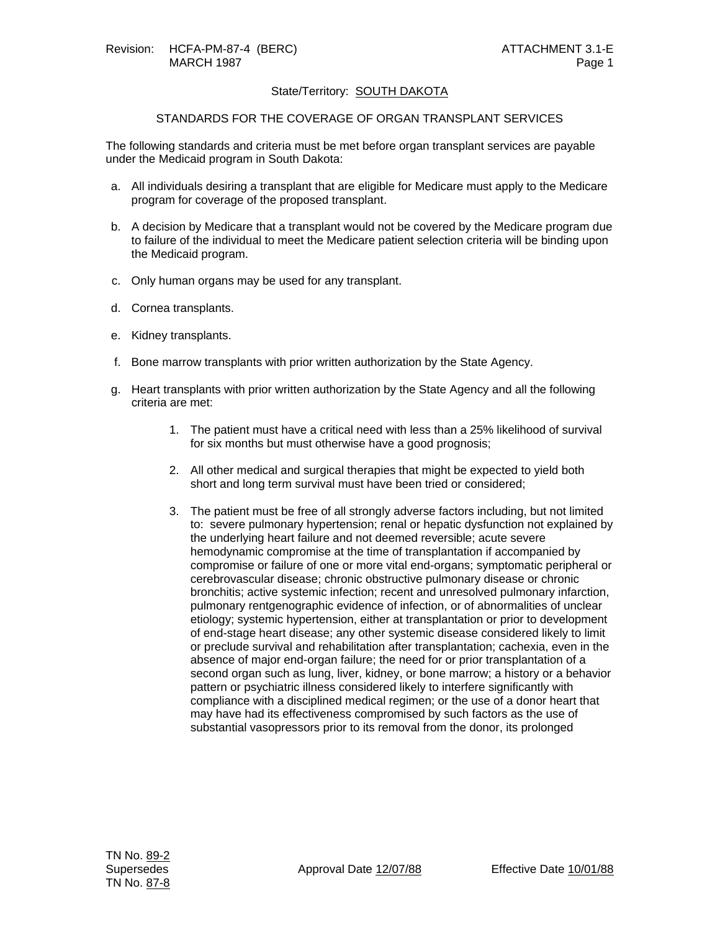## State/Territory: SOUTH DAKOTA

## STANDARDS FOR THE COVERAGE OF ORGAN TRANSPLANT SERVICES

The following standards and criteria must be met before organ transplant services are payable under the Medicaid program in South Dakota:

- a. All individuals desiring a transplant that are eligible for Medicare must apply to the Medicare program for coverage of the proposed transplant.
- b. A decision by Medicare that a transplant would not be covered by the Medicare program due to failure of the individual to meet the Medicare patient selection criteria will be binding upon the Medicaid program.
- c. Only human organs may be used for any transplant.
- d. Cornea transplants.
- e. Kidney transplants.
- f. Bone marrow transplants with prior written authorization by the State Agency.
- g. Heart transplants with prior written authorization by the State Agency and all the following criteria are met:
	- 1. The patient must have a critical need with less than a 25% likelihood of survival for six months but must otherwise have a good prognosis;
	- 2. All other medical and surgical therapies that might be expected to yield both short and long term survival must have been tried or considered;
	- 3. The patient must be free of all strongly adverse factors including, but not limited to: severe pulmonary hypertension; renal or hepatic dysfunction not explained by the underlying heart failure and not deemed reversible; acute severe hemodynamic compromise at the time of transplantation if accompanied by compromise or failure of one or more vital end-organs; symptomatic peripheral or cerebrovascular disease; chronic obstructive pulmonary disease or chronic bronchitis; active systemic infection; recent and unresolved pulmonary infarction, pulmonary rentgenographic evidence of infection, or of abnormalities of unclear etiology; systemic hypertension, either at transplantation or prior to development of end-stage heart disease; any other systemic disease considered likely to limit or preclude survival and rehabilitation after transplantation; cachexia, even in the absence of major end-organ failure; the need for or prior transplantation of a second organ such as lung, liver, kidney, or bone marrow; a history or a behavior pattern or psychiatric illness considered likely to interfere significantly with compliance with a disciplined medical regimen; or the use of a donor heart that may have had its effectiveness compromised by such factors as the use of substantial vasopressors prior to its removal from the donor, its prolonged